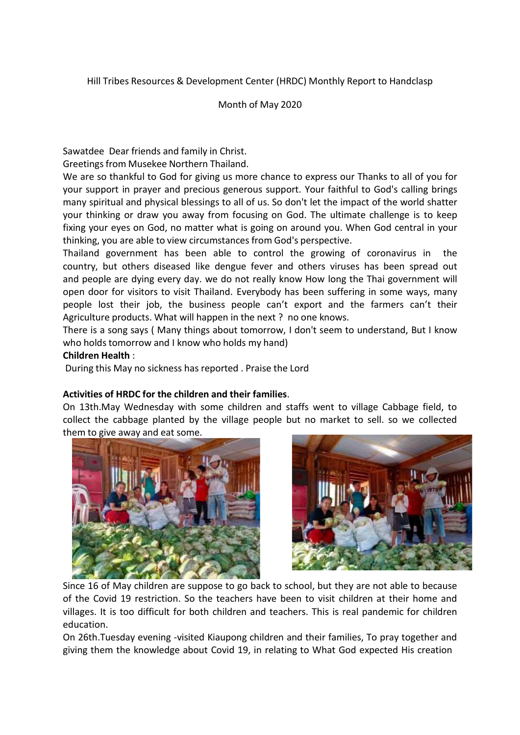Hill Tribes Resources & Development Center (HRDC) Monthly Report to Handclasp

## Month of May 2020

Sawatdee Dear friends and family in Christ.

Greetings from Musekee Northern Thailand.

We are so thankful to God for giving us more chance to express our Thanks to all of you for your support in prayer and precious generous support. Your faithful to God's calling brings many spiritual and physical blessings to all of us. So don't let the impact of the world shatter your thinking or draw you away from focusing on God. The ultimate challenge is to keep fixing your eyes on God, no matter what is going on around you. When God central in your thinking, you are able to view circumstances from God's perspective.

Thailand government has been able to control the growing of coronavirus in the country, but others diseased like dengue fever and others viruses has been spread out and people are dying every day. we do not really know How long the Thai government will open door for visitors to visit Thailand. Everybody has been suffering in some ways, many people lost their job, the business people can't export and the farmers can't their Agriculture products. What will happen in the next ? no one knows.

There is a song says ( Many things about tomorrow, I don't seem to understand, But I know who holds tomorrow and I know who holds my hand)

### **Children Health** :

During this May no sickness has reported . Praise the Lord

### **Activities of HRDC for the children and their families**.

On 13th.May Wednesday with some children and staffs went to village Cabbage field, to collect the cabbage planted by the village people but no market to sell. so we collected them to give away and eat some.





Since 16 of May children are suppose to go back to school, but they are not able to because of the Covid 19 restriction. So the teachers have been to visit children at their home and villages. It is too difficult for both children and teachers. This is real pandemic for children education.

On 26th.Tuesday evening -visited Kiaupong children and their families, To pray together and giving them the knowledge about Covid 19, in relating to What God expected His creation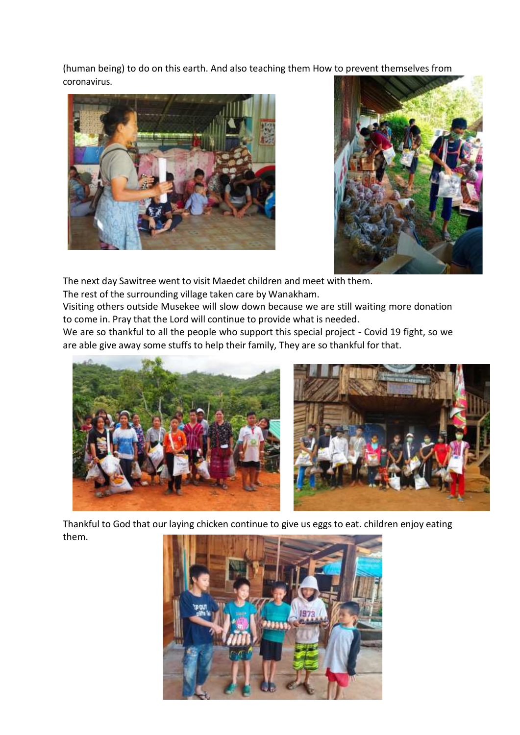(human being) to do on this earth. And also teaching them How to prevent themselves from coronavirus.





The next day Sawitree went to visit Maedet children and meet with them.

The rest of the surrounding village taken care by Wanakham.

Visiting others outside Musekee will slow down because we are still waiting more donation to come in. Pray that the Lord will continue to provide what is needed.

We are so thankful to all the people who support this special project - Covid 19 fight, so we are able give away some stuffs to help their family, They are so thankful for that.





Thankful to God that our laying chicken continue to give us eggs to eat. children enjoy eating them.